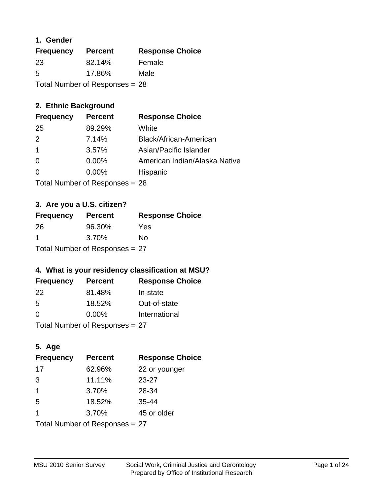## **1. Gender**

| <b>Frequency</b> | <b>Percent</b>                   | <b>Response Choice</b> |
|------------------|----------------------------------|------------------------|
| 23               | 82.14%                           | Female                 |
| 5                | 17.86%                           | Male                   |
|                  | Total Number of Responses = $28$ |                        |

## **2. Ethnic Background**

| <b>Frequency</b> | <b>Percent</b> | <b>Response Choice</b>        |
|------------------|----------------|-------------------------------|
| 25               | 89.29%         | White                         |
| $\mathcal{P}$    | 7.14%          | Black/African-American        |
| $\mathbf 1$      | 3.57%          | Asian/Pacific Islander        |
| -0               | 0.00%          | American Indian/Alaska Native |
| 0                | 0.00%          | Hispanic                      |
|                  |                |                               |

Total Number of Responses = 28

## **3. Are you a U.S. citizen?**

| <b>Frequency</b> | <b>Percent</b>                 | <b>Response Choice</b> |
|------------------|--------------------------------|------------------------|
| -26              | 96.30%                         | Yes                    |
| -1               | 3.70%                          | Nο                     |
|                  | Total Number of Responses = 27 |                        |

## **4. What is your residency classification at MSU?**

| <b>Frequency</b> | <b>Percent</b> | <b>Response Choice</b> |
|------------------|----------------|------------------------|
| 22               | 81.48%         | In-state               |
| .5               | 18.52%         | Out-of-state           |
| $\Omega$         | $0.00\%$       | International          |
|                  |                |                        |

Total Number of Responses = 27

## **5. Age**

| <b>Frequency</b>               | <b>Percent</b> | <b>Response Choice</b> |
|--------------------------------|----------------|------------------------|
| 17                             | 62.96%         | 22 or younger          |
| 3                              | 11.11%         | $23 - 27$              |
| 1                              | 3.70%          | 28-34                  |
| 5                              | 18.52%         | $35 - 44$              |
| 1                              | 3.70%          | 45 or older            |
| Total Number of Responses = 27 |                |                        |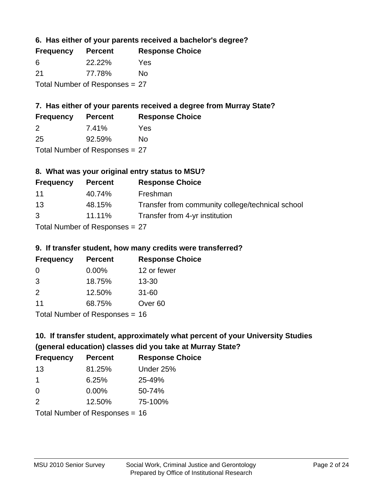**6. Has either of your parents received a bachelor's degree?**

| <b>Frequency</b>               | <b>Percent</b> | <b>Response Choice</b> |
|--------------------------------|----------------|------------------------|
| -6                             | 22.22%         | Yes                    |
| 21                             | 77.78%         | No                     |
| Total Number of Responses = 27 |                |                        |

# **7. Has either of your parents received a degree from Murray State?**

| <b>Frequency</b> | <b>Percent</b> | <b>Response Choice</b> |
|------------------|----------------|------------------------|
| -2               | 7.41%          | Yes                    |
| 25               | 92.59%         | No                     |

Total Number of Responses = 27

# **8. What was your original entry status to MSU?**

| <b>Frequency</b>                 | <b>Percent</b> | <b>Response Choice</b>                           |
|----------------------------------|----------------|--------------------------------------------------|
| 11                               | 40.74%         | Freshman                                         |
| 13                               | 48.15%         | Transfer from community college/technical school |
| $\mathcal{B}$                    | 11.11%         | Transfer from 4-yr institution                   |
| Total Number of Responses $= 27$ |                |                                                  |

#### **9. If transfer student, how many credits were transferred? Frequency Percent Response Choice**

| <b>Frequency</b>               | Percent  | <b>Response C</b>  |
|--------------------------------|----------|--------------------|
| $\Omega$                       | $0.00\%$ | 12 or fewer        |
| 3                              | 18.75%   | $13 - 30$          |
| $\mathcal{P}$                  | 12.50%   | $31 - 60$          |
| 11                             | 68.75%   | Over <sub>60</sub> |
| Total Number of Poenances - 16 |          |                    |

I otal Number of Responses = 16

# **10. If transfer student, approximately what percent of your University Studies (general education) classes did you take at Murray State?**

| <b>Frequency</b>                 | <b>Percent</b> | <b>Response Choice</b> |
|----------------------------------|----------------|------------------------|
| 13                               | 81.25%         | Under 25%              |
| $\mathbf 1$                      | 6.25%          | 25-49%                 |
| $\Omega$                         | $0.00\%$       | 50-74%                 |
| 2                                | 12.50%         | 75-100%                |
| Total Number of Responses $= 16$ |                |                        |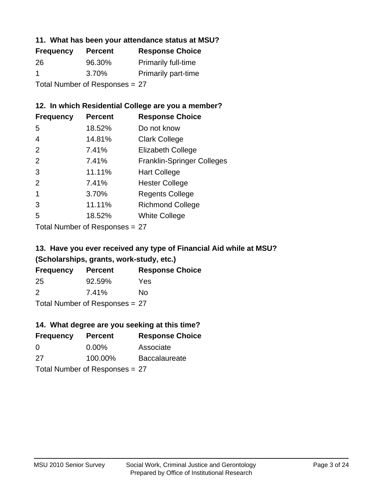## **11. What has been your attendance status at MSU?**

| <b>Frequency</b>               | <b>Percent</b> | <b>Response Choice</b>     |
|--------------------------------|----------------|----------------------------|
| 26                             | 96.30%         | <b>Primarily full-time</b> |
| -1                             | 3.70%          | <b>Primarily part-time</b> |
| Total Number of Responses = 27 |                |                            |

## **12. In which Residential College are you a member?**

| <b>Frequency</b> | <b>Percent</b> | <b>Response Choice</b>            |
|------------------|----------------|-----------------------------------|
| 5                | 18.52%         | Do not know                       |
| 4                | 14.81%         | <b>Clark College</b>              |
| 2                | 7.41%          | <b>Elizabeth College</b>          |
| 2                | 7.41%          | <b>Franklin-Springer Colleges</b> |
| 3                | 11.11%         | <b>Hart College</b>               |
| 2                | 7.41%          | <b>Hester College</b>             |
| 1                | 3.70%          | <b>Regents College</b>            |
| 3                | 11.11%         | <b>Richmond College</b>           |
| 5                | 18.52%         | <b>White College</b>              |
|                  |                |                                   |

Total Number of Responses = 27

## **13. Have you ever received any type of Financial Aid while at MSU? (Scholarships, grants, work-study, etc.)**

| <b>Frequency</b> | <b>Percent</b> | <b>Response Choice</b> |
|------------------|----------------|------------------------|
| 25               | 92.59%         | Yes                    |
| 2                | 7.41%          | No                     |
| — <u>.</u>       |                |                        |

Total Number of Responses = 27

## **14. What degree are you seeking at this time?**

| <b>Frequency</b> | <b>Percent</b>                 | <b>Response Choice</b> |
|------------------|--------------------------------|------------------------|
| 0                | $0.00\%$                       | Associate              |
| 27               | 100.00%                        | <b>Baccalaureate</b>   |
|                  | Total Number of Responses = 27 |                        |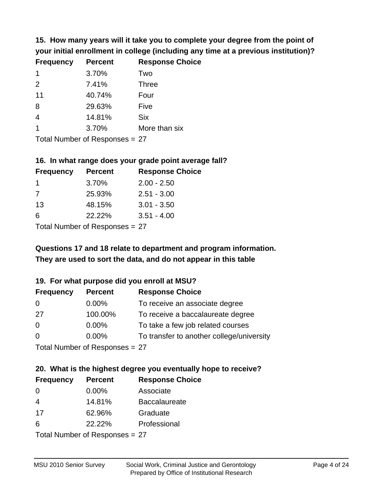**15. How many years will it take you to complete your degree from the point of your initial enrollment in college (including any time at a previous institution)?**

| <b>Frequency</b> | <b>Percent</b> | <b>Response Choice</b> |
|------------------|----------------|------------------------|
| $\mathbf 1$      | 3.70%          | Two                    |
| 2                | 7.41%          | <b>Three</b>           |
| 11               | 40.74%         | Four                   |
| 8                | 29.63%         | Five                   |
| $\overline{4}$   | 14.81%         | <b>Six</b>             |
|                  | 3.70%          | More than six          |
|                  |                |                        |

Total Number of Responses = 27

#### **16. In what range does your grade point average fall?**

| <b>Frequency</b> | <b>Percent</b>               | <b>Response Choice</b> |
|------------------|------------------------------|------------------------|
| $\overline{1}$   | 3.70%                        | $2.00 - 2.50$          |
| 7                | 25.93%                       | $2.51 - 3.00$          |
| 13               | 48.15%                       | $3.01 - 3.50$          |
| 6                | 22.22%                       | $3.51 - 4.00$          |
|                  | $\tau$ . The state of $\sim$ |                        |

Total Number of Responses = 27

# **They are used to sort the data, and do not appear in this table Questions 17 and 18 relate to department and program information.**

#### **19. For what purpose did you enroll at MSU?**

| <b>Frequency</b> | <b>Percent</b>                 | <b>Response Choice</b>                    |
|------------------|--------------------------------|-------------------------------------------|
| 0                | $0.00\%$                       | To receive an associate degree            |
| 27               | 100.00%                        | To receive a baccalaureate degree         |
| $\overline{0}$   | $0.00\%$                       | To take a few job related courses         |
| $\Omega$         | $0.00\%$                       | To transfer to another college/university |
|                  | Total Number of Responses = 27 |                                           |

# **20. What is the highest degree you eventually hope to receive?**

| <b>Frequency</b> | <b>Percent</b>                 | <b>Response Choice</b> |
|------------------|--------------------------------|------------------------|
| $\Omega$         | $0.00\%$                       | Associate              |
| 4                | 14.81%                         | <b>Baccalaureate</b>   |
| 17               | 62.96%                         | Graduate               |
| 6                | 22.22%                         | Professional           |
|                  | Total Number of Responses = 27 |                        |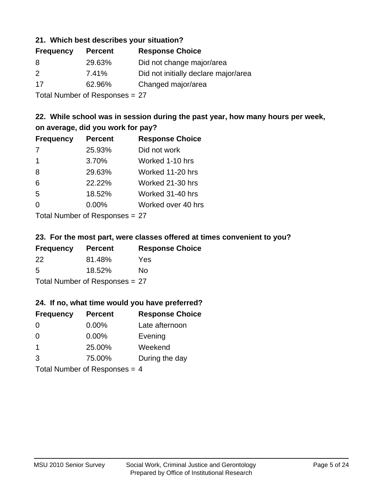## **21. Which best describes your situation?**

| <b>Frequency</b> | <b>Percent</b> | <b>Response Choice</b>               |
|------------------|----------------|--------------------------------------|
| 8                | 29.63%         | Did not change major/area            |
| 2                | 7.41%          | Did not initially declare major/area |
| 17               | 62.96%         | Changed major/area                   |
|                  |                |                                      |

Total Number of Responses = 27

## **22. While school was in session during the past year, how many hours per week, on average, did you work for pay?**

| <b>Frequency</b> | <b>Percent</b> | <b>Response Choice</b> |
|------------------|----------------|------------------------|
| 7                | 25.93%         | Did not work           |
| -1               | 3.70%          | Worked 1-10 hrs        |
| 8                | 29.63%         | Worked 11-20 hrs       |
| 6                | 22.22%         | Worked 21-30 hrs       |
| 5                | 18.52%         | Worked 31-40 hrs       |
| 0                | 0.00%          | Worked over 40 hrs     |
|                  |                |                        |

Total Number of Responses = 27

#### **23. For the most part, were classes offered at times convenient to you?**

| <b>Frequency</b>               | <b>Percent</b> | <b>Response Choice</b> |
|--------------------------------|----------------|------------------------|
| 22                             | 81.48%         | Yes                    |
| .5                             | 18.52%         | No.                    |
| Total Number of Responses = 27 |                |                        |

#### **24. If no, what time would you have preferred?**

| <b>Frequency</b>                | <b>Percent</b> | <b>Response Choice</b> |
|---------------------------------|----------------|------------------------|
| $\Omega$                        | $0.00\%$       | Late afternoon         |
| $\Omega$                        | 0.00%          | Evening                |
| $\overline{1}$                  | 25.00%         | Weekend                |
| 3                               | 75.00%         | During the day         |
| Total Number of Responses = $4$ |                |                        |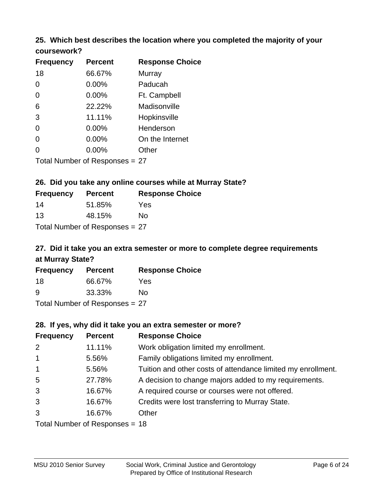# **25. Which best describes the location where you completed the majority of your**

| coursework? |
|-------------|
|-------------|

| <b>Frequency</b> | <b>Percent</b>                 | <b>Response Choice</b> |
|------------------|--------------------------------|------------------------|
| 18               | 66.67%                         | <b>Murray</b>          |
| 0                | 0.00%                          | Paducah                |
| 0                | 0.00%                          | Ft. Campbell           |
| 6                | 22.22%                         | Madisonville           |
| 3                | 11.11%                         | Hopkinsville           |
| 0                | $0.00\%$                       | Henderson              |
| 0                | 0.00%                          | On the Internet        |
| 0                | 0.00%                          | Other                  |
|                  | Total Number of Responses = 27 |                        |

## **26. Did you take any online courses while at Murray State?**

| <b>Frequency</b>               | <b>Percent</b> | <b>Response Choice</b> |  |  |
|--------------------------------|----------------|------------------------|--|--|
| 14                             | 51.85%         | Yes                    |  |  |
| 13                             | 48.15%         | Nο                     |  |  |
| Total Number of Responses = 27 |                |                        |  |  |

# **27. Did it take you an extra semester or more to complete degree requirements at Murray State?**

| <b>Frequency</b> | <b>Percent</b>             | <b>Response Choice</b> |
|------------------|----------------------------|------------------------|
| 18               | 66.67%                     | Yes.                   |
| 9                | 33.33%                     | Nο                     |
|                  | Tatal Manakan af Dagmanage | ~-                     |

Total Number of Responses = 27

#### **28. If yes, why did it take you an extra semester or more?**

| <b>Frequency</b> | <b>Percent</b>                 | <b>Response Choice</b>                                       |
|------------------|--------------------------------|--------------------------------------------------------------|
| 2                | 11.11%                         | Work obligation limited my enrollment.                       |
| $\mathbf{1}$     | 5.56%                          | Family obligations limited my enrollment.                    |
| $\overline{1}$   | 5.56%                          | Tuition and other costs of attendance limited my enrollment. |
| 5                | 27.78%                         | A decision to change majors added to my requirements.        |
| 3                | 16.67%                         | A required course or courses were not offered.               |
| 3                | 16.67%                         | Credits were lost transferring to Murray State.              |
| 3                | 16.67%                         | Other                                                        |
|                  | Total Number of Responses = 18 |                                                              |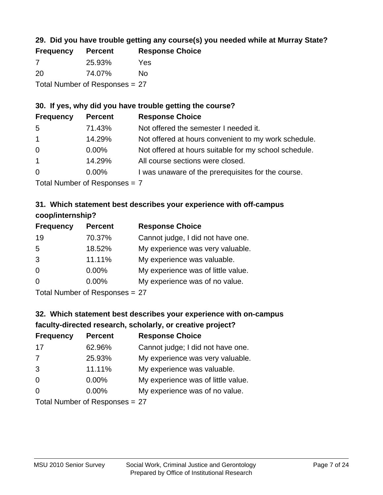## **29. Did you have trouble getting any course(s) you needed while at Murray State?**

| <b>Frequency</b>               | <b>Percent</b> | <b>Response Choice</b> |  |  |
|--------------------------------|----------------|------------------------|--|--|
| -7                             | 25.93%         | Yes                    |  |  |
| -20                            | 74.07%         | No.                    |  |  |
| Total Number of Responses = 27 |                |                        |  |  |

## **30. If yes, why did you have trouble getting the course?**

| <b>Frequency</b> | <b>Percent</b> | <b>Response Choice</b>                                |
|------------------|----------------|-------------------------------------------------------|
| 5                | 71.43%         | Not offered the semester I needed it.                 |
| $\overline{1}$   | 14.29%         | Not offered at hours convenient to my work schedule.  |
| $\overline{0}$   | $0.00\%$       | Not offered at hours suitable for my school schedule. |
| $\overline{1}$   | 14.29%         | All course sections were closed.                      |
| $\overline{0}$   | $0.00\%$       | I was unaware of the prerequisites for the course.    |
|                  |                |                                                       |

Total Number of Responses = 7

## **31. Which statement best describes your experience with off-campus coop/internship?**

| <b>Frequency</b> | <b>Percent</b> | <b>Response Choice</b>             |
|------------------|----------------|------------------------------------|
| 19               | 70.37%         | Cannot judge, I did not have one.  |
| 5                | 18.52%         | My experience was very valuable.   |
| 3                | 11.11%         | My experience was valuable.        |
| $\Omega$         | 0.00%          | My experience was of little value. |
| $\Omega$         | $0.00\%$       | My experience was of no value.     |
|                  |                |                                    |

Total Number of Responses = 27

# **32. Which statement best describes your experience with on-campus faculty-directed research, scholarly, or creative project?**

| <b>Frequency</b> | <b>Percent</b>             | <b>Response Choice</b>             |
|------------------|----------------------------|------------------------------------|
| 17               | 62.96%                     | Cannot judge; I did not have one.  |
| 7                | 25.93%                     | My experience was very valuable.   |
| 3                | 11.11%                     | My experience was valuable.        |
| $\Omega$         | 0.00%                      | My experience was of little value. |
| $\Omega$         | 0.00%                      | My experience was of no value.     |
|                  | Total Number of Desperance |                                    |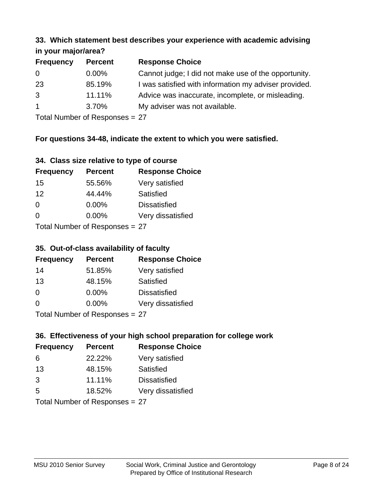#### **33. Which statement best describes your experience with academic advising in your major/area?**

| $\cdots$ your mapproved. |                |                                                       |
|--------------------------|----------------|-------------------------------------------------------|
| <b>Frequency</b>         | <b>Percent</b> | <b>Response Choice</b>                                |
| 0                        | $0.00\%$       | Cannot judge; I did not make use of the opportunity.  |
| 23                       | 85.19%         | I was satisfied with information my adviser provided. |
| 3                        | 11.11%         | Advice was inaccurate, incomplete, or misleading.     |
| $\overline{1}$           | 3.70%          | My adviser was not available.                         |
|                          |                |                                                       |

Total Number of Responses = 27

## **For questions 34-48, indicate the extent to which you were satisfied.**

| 34. Class size relative to type of course |  |  |  |  |  |  |  |  |
|-------------------------------------------|--|--|--|--|--|--|--|--|
|-------------------------------------------|--|--|--|--|--|--|--|--|

| <b>Frequency</b>               | <b>Percent</b> | <b>Response Choice</b> |  |  |
|--------------------------------|----------------|------------------------|--|--|
| 15                             | 55.56%         | Very satisfied         |  |  |
| 12                             | 44.44%         | Satisfied              |  |  |
| $\Omega$                       | $0.00\%$       | <b>Dissatisfied</b>    |  |  |
| $\Omega$                       | $0.00\%$       | Very dissatisfied      |  |  |
| Total Number of Responses = 27 |                |                        |  |  |

# **35. Out-of-class availability of faculty**

| <b>Frequency</b>          | <b>Percent</b> | <b>Response Choice</b> |  |  |
|---------------------------|----------------|------------------------|--|--|
| 14                        | 51.85%         | Very satisfied         |  |  |
| 13                        | 48.15%         | Satisfied              |  |  |
| $\Omega$                  | $0.00\%$       | <b>Dissatisfied</b>    |  |  |
| $\Omega$                  | $0.00\%$       | Very dissatisfied      |  |  |
| Total Number of Desponses |                |                        |  |  |

Total Number of Responses = 27

## **36. Effectiveness of your high school preparation for college work**

| <b>Frequency</b>          | <b>Percent</b> | <b>Response Choice</b> |  |  |
|---------------------------|----------------|------------------------|--|--|
| 6                         | 22.22%         | Very satisfied         |  |  |
| 13                        | 48.15%         | Satisfied              |  |  |
| 3                         | 11.11%         | <b>Dissatisfied</b>    |  |  |
| 5                         | 18.52%         | Very dissatisfied      |  |  |
| Total Number of Desponses |                |                        |  |  |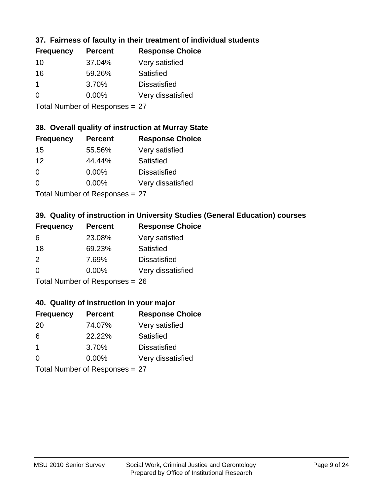## **37. Fairness of faculty in their treatment of individual students**

| <b>Frequency</b> | <b>Percent</b> | <b>Response Choice</b> |
|------------------|----------------|------------------------|
| 10               | 37.04%         | Very satisfied         |
| 16               | 59.26%         | Satisfied              |
| 1                | 3.70%          | <b>Dissatisfied</b>    |
| $\Omega$         | 0.00%          | Very dissatisfied      |
|                  |                |                        |

Total Number of Responses = 27

#### **38. Overall quality of instruction at Murray State**

| <b>Frequency</b> | <b>Percent</b> | <b>Response Choice</b> |
|------------------|----------------|------------------------|
| 15               | 55.56%         | Very satisfied         |
| 12               | 44.44%         | Satisfied              |
| $\Omega$         | 0.00%          | <b>Dissatisfied</b>    |
| $\Omega$         | 0.00%          | Very dissatisfied      |
|                  |                |                        |

Total Number of Responses = 27

## **39. Quality of instruction in University Studies (General Education) courses**

| <b>Frequency</b> | <b>Percent</b>                      | <b>Response Choice</b> |
|------------------|-------------------------------------|------------------------|
| 6                | 23.08%                              | Very satisfied         |
| 18               | 69.23%                              | Satisfied              |
| $\mathcal{P}$    | 7.69%                               | <b>Dissatisfied</b>    |
| $\Omega$         | 0.00%                               | Very dissatisfied      |
|                  | $Total Number of DoEROR 22 \sim 28$ |                        |

Total Number of Responses = 26

#### **40. Quality of instruction in your major**

| <b>Frequency</b> | <b>Percent</b>                           | <b>Response Choice</b> |
|------------------|------------------------------------------|------------------------|
| -20              | 74.07%                                   | Very satisfied         |
| 6                | 22.22%                                   | Satisfied              |
| -1               | 3.70%                                    | <b>Dissatisfied</b>    |
| $\Omega$         | 0.00%                                    | Very dissatisfied      |
|                  | $T$ at all Message and $D$ are a serious |                        |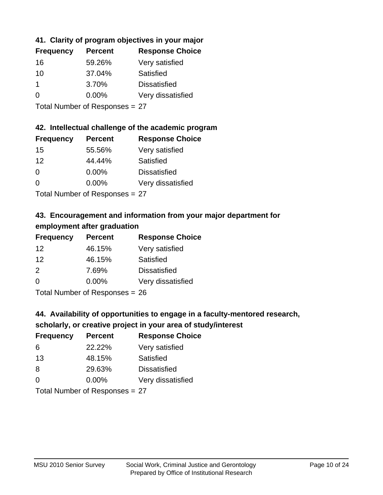## **41. Clarity of program objectives in your major**

| <b>Frequency</b> | <b>Percent</b> | <b>Response Choice</b> |
|------------------|----------------|------------------------|
| 16               | 59.26%         | Very satisfied         |
| 10               | 37.04%         | Satisfied              |
|                  | 3.70%          | <b>Dissatisfied</b>    |
| ∩                | $0.00\%$       | Very dissatisfied      |
|                  |                |                        |

Total Number of Responses = 27

### **42. Intellectual challenge of the academic program**

| <b>Frequency</b> | <b>Percent</b> | <b>Response Choice</b> |
|------------------|----------------|------------------------|
| 15               | 55.56%         | Very satisfied         |
| 12               | 44.44%         | Satisfied              |
| $\Omega$         | 0.00%          | <b>Dissatisfied</b>    |
| $\Omega$         | 0.00%          | Very dissatisfied      |
|                  |                |                        |

Total Number of Responses = 27

## **43. Encouragement and information from your major department for employment after graduation**

| <b>Frequency</b> | <b>Percent</b> | <b>Response Choice</b> |
|------------------|----------------|------------------------|
| 12               | 46.15%         | Very satisfied         |
| 12               | 46.15%         | Satisfied              |
| 2                | 7.69%          | <b>Dissatisfied</b>    |
| 0                | 0.00%          | Very dissatisfied      |
|                  |                |                        |

Total Number of Responses = 26

## **44. Availability of opportunities to engage in a faculty-mentored research,**

## **scholarly, or creative project in your area of study/interest**

| <b>Frequency</b> | <b>Percent</b> | <b>Response Choice</b> |
|------------------|----------------|------------------------|
| 6                | 22.22%         | Very satisfied         |
| 13               | 48.15%         | Satisfied              |
| 8                | 29.63%         | <b>Dissatisfied</b>    |
| $\Omega$         | $0.00\%$       | Very dissatisfied      |
|                  |                |                        |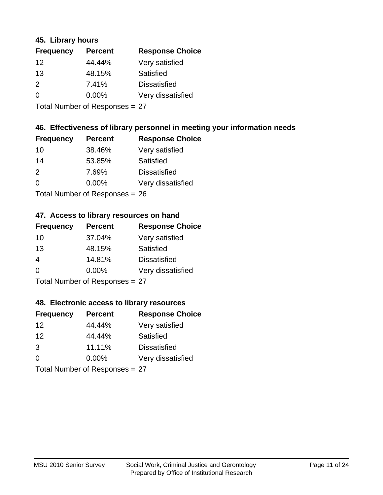## **45. Library hours**

| <b>Frequency</b> | <b>Percent</b> | <b>Response Choice</b> |
|------------------|----------------|------------------------|
| 12               | 44.44%         | Very satisfied         |
| 13               | 48.15%         | Satisfied              |
| 2                | 7.41%          | <b>Dissatisfied</b>    |
| 0                | 0.00%          | Very dissatisfied      |
|                  |                |                        |

Total Number of Responses = 27

## **46. Effectiveness of library personnel in meeting your information needs**

| <b>Frequency</b> | <b>Percent</b> | <b>Response Choice</b> |
|------------------|----------------|------------------------|
| 10               | 38.46%         | Very satisfied         |
| 14               | 53.85%         | Satisfied              |
| $\mathcal{P}$    | 7.69%          | <b>Dissatisfied</b>    |
| $\Omega$         | 0.00%          | Very dissatisfied      |
|                  |                |                        |

Total Number of Responses = 26

#### **47. Access to library resources on hand**

| <b>Frequency</b> | <b>Percent</b>            | <b>Response Choice</b> |
|------------------|---------------------------|------------------------|
| 10               | 37.04%                    | Very satisfied         |
| 13               | 48.15%                    | Satisfied              |
| 4                | 14.81%                    | <b>Dissatisfied</b>    |
| $\Omega$         | $0.00\%$                  | Very dissatisfied      |
|                  | Total Number of Desponses |                        |

Total Number of Responses = 27

#### **48. Electronic access to library resources**

| <b>Frequency</b> | <b>Percent</b>             | <b>Response Choice</b> |
|------------------|----------------------------|------------------------|
| 12               | 44.44%                     | Very satisfied         |
| 12               | 44.44%                     | Satisfied              |
| 3                | 11.11%                     | <b>Dissatisfied</b>    |
| $\Omega$         | 0.00%                      | Very dissatisfied      |
|                  | Total Number of Desperance |                        |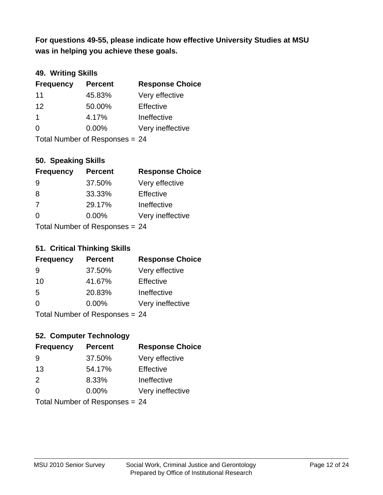**was in helping you achieve these goals. For questions 49-55, please indicate how effective University Studies at MSU** 

## **49. Writing Skills**

| <b>Frequency</b>               | <b>Percent</b> | <b>Response Choice</b> |
|--------------------------------|----------------|------------------------|
| 11                             | 45.83%         | Very effective         |
| 12                             | 50.00%         | Effective              |
| $\mathbf 1$                    | 4.17%          | Ineffective            |
| $\Omega$                       | $0.00\%$       | Very ineffective       |
| Total Number of Responses = 24 |                |                        |

## **50. Speaking Skills**

| <b>Frequency</b> | <b>Percent</b>                 | <b>Response Choice</b> |
|------------------|--------------------------------|------------------------|
| -9               | 37.50%                         | Very effective         |
| 8                | 33.33%                         | Effective              |
| 7                | 29.17%                         | Ineffective            |
| $\Omega$         | $0.00\%$                       | Very ineffective       |
|                  | Total Number of Responses = 24 |                        |

#### **51. Critical Thinking Skills**

| <b>Frequency</b>               | <b>Percent</b> | <b>Response Choice</b> |
|--------------------------------|----------------|------------------------|
| 9                              | 37.50%         | Very effective         |
| 10                             | 41.67%         | Effective              |
| 5                              | 20.83%         | Ineffective            |
| $\Omega$                       | $0.00\%$       | Very ineffective       |
| Total Number of Responses = 24 |                |                        |

#### **52. Computer Technology**

| <b>Frequency</b>               | <b>Percent</b> | <b>Response Choice</b> |
|--------------------------------|----------------|------------------------|
| 9                              | 37.50%         | Very effective         |
| 13                             | 54.17%         | Effective              |
| 2                              | 8.33%          | Ineffective            |
| $\Omega$                       | $0.00\%$       | Very ineffective       |
| Total Number of Responses = 24 |                |                        |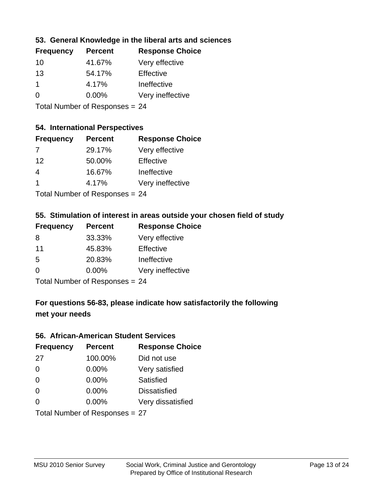## **53. General Knowledge in the liberal arts and sciences**

| <b>Frequency</b> | <b>Percent</b> | <b>Response Choice</b> |
|------------------|----------------|------------------------|
| 10               | 41.67%         | Very effective         |
| 13               | 54.17%         | Effective              |
|                  | 4.17%          | Ineffective            |
| $\Omega$         | 0.00%          | Very ineffective       |
|                  |                |                        |

Total Number of Responses = 24

#### **54. International Perspectives**

| <b>Frequency</b> | <b>Percent</b>               | <b>Response Choice</b> |
|------------------|------------------------------|------------------------|
| 7                | 29.17%                       | Very effective         |
| 12               | 50.00%                       | Effective              |
| 4                | 16.67%                       | Ineffective            |
| -1               | 4.17%                        | Very ineffective       |
|                  | The HI all and December 2014 |                        |

Total Number of Responses = 24

#### **55. Stimulation of interest in areas outside your chosen field of study**

| <b>Frequency</b> | <b>Percent</b>            | <b>Response Choice</b> |
|------------------|---------------------------|------------------------|
| 8                | 33.33%                    | Very effective         |
| 11               | 45.83%                    | Effective              |
| .5               | 20.83%                    | Ineffective            |
| $\Omega$         | 0.00%                     | Very ineffective       |
|                  | Total Number of Desponses |                        |

Total Number of Responses = 24

## **For questions 56-83, please indicate how satisfactorily the following met your needs**

#### **56. African-American Student Services**

| <b>Frequency</b> | <b>Percent</b>                 | <b>Response Choice</b> |
|------------------|--------------------------------|------------------------|
| 27               | 100.00%                        | Did not use            |
| $\Omega$         | 0.00%                          | Very satisfied         |
| $\Omega$         | 0.00%                          | Satisfied              |
| $\Omega$         | $0.00\%$                       | <b>Dissatisfied</b>    |
| $\Omega$         | 0.00%                          | Very dissatisfied      |
|                  | Total Number of Responses = 27 |                        |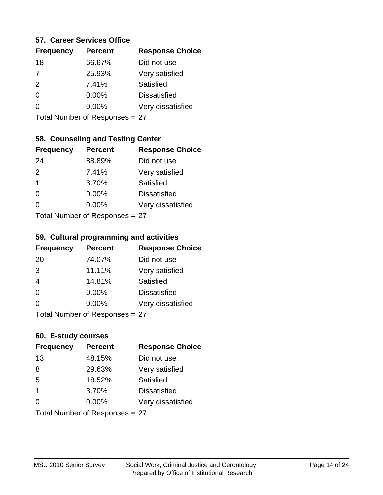#### **57. Career Services Office**

| <b>Frequency</b> | <b>Percent</b> | <b>Response Choice</b> |
|------------------|----------------|------------------------|
| 18               | 66.67%         | Did not use            |
| $\overline{7}$   | 25.93%         | Very satisfied         |
| 2                | 7.41%          | Satisfied              |
| 0                | $0.00\%$       | <b>Dissatisfied</b>    |
|                  | $0.00\%$       | Very dissatisfied      |
|                  |                |                        |

Total Number of Responses = 27

## **58. Counseling and Testing Center**

| <b>Frequency</b> | <b>Percent</b>            | <b>Response Choice</b> |
|------------------|---------------------------|------------------------|
| 24               | 88.89%                    | Did not use            |
| 2                | 7.41%                     | Very satisfied         |
| $\mathbf 1$      | 3.70%                     | <b>Satisfied</b>       |
| $\Omega$         | 0.00%                     | <b>Dissatisfied</b>    |
| 0                | 0.00%                     | Very dissatisfied      |
|                  | Total Number of Desponses |                        |

Total Number of Responses = 27

#### **59. Cultural programming and activities**

| <b>Frequency</b> | <b>Percent</b>            | <b>Response Choice</b> |
|------------------|---------------------------|------------------------|
| 20               | 74.07%                    | Did not use            |
| 3                | 11.11%                    | Very satisfied         |
| $\overline{4}$   | 14.81%                    | Satisfied              |
| $\Omega$         | 0.00%                     | <b>Dissatisfied</b>    |
| $\Omega$         | 0.00%                     | Very dissatisfied      |
|                  | Total Number of Deepensee |                        |

Total Number of Responses = 27

#### **60. E-study courses**

| <b>Frequency</b>        | <b>Percent</b>                 | <b>Response Choice</b> |
|-------------------------|--------------------------------|------------------------|
| 13                      | 48.15%                         | Did not use            |
| 8                       | 29.63%                         | Very satisfied         |
| 5                       | 18.52%                         | Satisfied              |
| $\overline{\mathbf{1}}$ | 3.70%                          | <b>Dissatisfied</b>    |
| $\Omega$                | 0.00%                          | Very dissatisfied      |
|                         | Total Number of Responses = 27 |                        |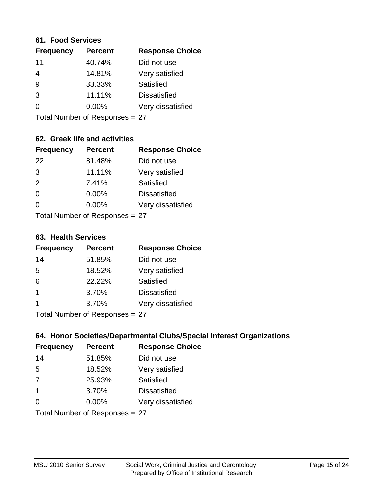#### **61. Food Services**

| <b>Frequency</b> | <b>Percent</b> | <b>Response Choice</b> |
|------------------|----------------|------------------------|
| 11               | 40.74%         | Did not use            |
| 4                | 14.81%         | Very satisfied         |
| 9                | 33.33%         | Satisfied              |
| 3                | 11.11%         | <b>Dissatisfied</b>    |
| $\Omega$         | 0.00%          | Very dissatisfied      |
|                  |                |                        |

Total Number of Responses = 27

## **62. Greek life and activities**

| <b>Frequency</b> | <b>Percent</b>                 | <b>Response Choice</b> |
|------------------|--------------------------------|------------------------|
| 22               | 81.48%                         | Did not use            |
| 3                | 11.11%                         | Very satisfied         |
| 2                | 7.41%                          | Satisfied              |
| $\Omega$         | 0.00%                          | <b>Dissatisfied</b>    |
| ∩                | $0.00\%$                       | Very dissatisfied      |
|                  | Total Number of Responses = 27 |                        |

**63. Health Services**

| <b>Frequency</b> | <b>Percent</b> | <b>Response Choice</b> |
|------------------|----------------|------------------------|
| 14               | 51.85%         | Did not use            |
| 5                | 18.52%         | Very satisfied         |
| 6                | 22.22%         | Satisfied              |
| $\overline{1}$   | 3.70%          | <b>Dissatisfied</b>    |
|                  | 3.70%          | Very dissatisfied      |
|                  |                |                        |

Total Number of Responses = 27

## **64. Honor Societies/Departmental Clubs/Special Interest Organizations**

| <b>Frequency</b> | <b>Percent</b>                 | <b>Response Choice</b> |
|------------------|--------------------------------|------------------------|
| 14               | 51.85%                         | Did not use            |
| 5                | 18.52%                         | Very satisfied         |
| 7                | 25.93%                         | Satisfied              |
| -1               | 3.70%                          | <b>Dissatisfied</b>    |
| $\Omega$         | 0.00%                          | Very dissatisfied      |
|                  | Total Number of Responses = 27 |                        |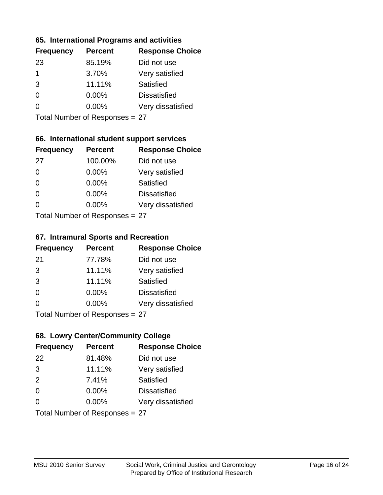## **65. International Programs and activities**

| <b>Frequency</b> | <b>Percent</b> | <b>Response Choice</b> |
|------------------|----------------|------------------------|
| 23               | 85.19%         | Did not use            |
| 1                | 3.70%          | Very satisfied         |
| 3                | 11.11%         | Satisfied              |
| 0                | $0.00\%$       | <b>Dissatisfied</b>    |
|                  | $0.00\%$       | Very dissatisfied      |
|                  |                |                        |

Total Number of Responses = 27

## **66. International student support services**

| <b>Frequency</b>          | <b>Percent</b> | <b>Response Choice</b> |
|---------------------------|----------------|------------------------|
| 27                        | 100.00%        | Did not use            |
| $\Omega$                  | 0.00%          | Very satisfied         |
| $\Omega$                  | 0.00%          | <b>Satisfied</b>       |
| $\Omega$                  | 0.00%          | <b>Dissatisfied</b>    |
| ∩                         | 0.00%          | Very dissatisfied      |
| Total Number of Desponses |                |                        |

Total Number of Responses = 27

#### **67. Intramural Sports and Recreation**

| <b>Frequency</b>          | <b>Percent</b> | <b>Response Choice</b> |
|---------------------------|----------------|------------------------|
| -21                       | 77.78%         | Did not use            |
| 3                         | 11.11%         | Very satisfied         |
| 3                         | 11.11%         | Satisfied              |
| $\Omega$                  | $0.00\%$       | <b>Dissatisfied</b>    |
| $\Omega$                  | 0.00%          | Very dissatisfied      |
| Total Number of Desponses |                |                        |

Total Number of Responses = 27

## **68. Lowry Center/Community College**

| <b>Frequency</b> | <b>Percent</b>                 | <b>Response Choice</b> |
|------------------|--------------------------------|------------------------|
| 22               | 81.48%                         | Did not use            |
| 3                | 11.11%                         | Very satisfied         |
| 2                | 7.41%                          | Satisfied              |
| $\Omega$         | $0.00\%$                       | <b>Dissatisfied</b>    |
| $\Omega$         | 0.00%                          | Very dissatisfied      |
|                  | Total Number of Responses = 27 |                        |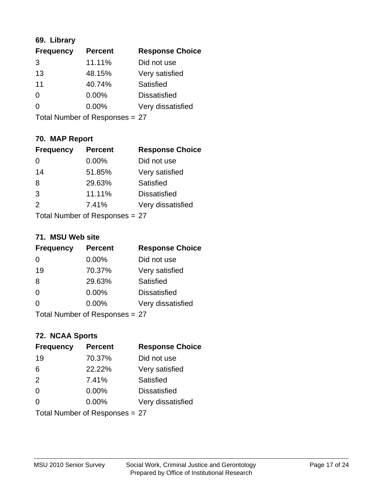## **69. Library**

| <b>Frequency</b> | <b>Percent</b> | <b>Response Choice</b> |
|------------------|----------------|------------------------|
| 3                | 11.11%         | Did not use            |
| 13               | 48.15%         | Very satisfied         |
| 11               | 40.74%         | Satisfied              |
| $\Omega$         | $0.00\%$       | <b>Dissatisfied</b>    |
| 0                | $0.00\%$       | Very dissatisfied      |
|                  |                |                        |

Total Number of Responses = 27

## **70. MAP Report**

| <b>Frequency</b> | <b>Percent</b>                 | <b>Response Choice</b> |
|------------------|--------------------------------|------------------------|
|                  | 0.00%                          | Did not use            |
| 14               | 51.85%                         | Very satisfied         |
| 8                | 29.63%                         | Satisfied              |
| 3                | 11.11%                         | <b>Dissatisfied</b>    |
| 2                | 7.41%                          | Very dissatisfied      |
|                  | Total Number of Responses = 27 |                        |

#### **71. MSU Web site**

| <b>Frequency</b> | <b>Percent</b>                 | <b>Response Choice</b> |
|------------------|--------------------------------|------------------------|
| 0                | 0.00%                          | Did not use            |
| 19               | 70.37%                         | Very satisfied         |
| 8                | 29.63%                         | Satisfied              |
| $\Omega$         | 0.00%                          | <b>Dissatisfied</b>    |
| ∩                | 0.00%                          | Very dissatisfied      |
|                  | Total Number of Responses = 27 |                        |

## **72. NCAA Sports**

| <b>Frequency</b> | <b>Percent</b>                 | <b>Response Choice</b> |
|------------------|--------------------------------|------------------------|
| 19               | 70.37%                         | Did not use            |
| 6                | 22.22%                         | Very satisfied         |
| 2                | 7.41%                          | Satisfied              |
| $\Omega$         | 0.00%                          | <b>Dissatisfied</b>    |
| $\Omega$         | 0.00%                          | Very dissatisfied      |
|                  | Total Number of Responses = 27 |                        |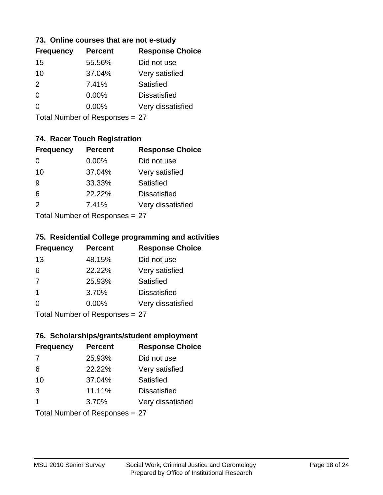## **73. Online courses that are not e-study**

| <b>Frequency</b> | <b>Percent</b> | <b>Response Choice</b> |
|------------------|----------------|------------------------|
| 15               | 55.56%         | Did not use            |
| 10               | 37.04%         | Very satisfied         |
| $\mathcal{P}$    | 7.41%          | Satisfied              |
| ∩                | $0.00\%$       | <b>Dissatisfied</b>    |
|                  | $0.00\%$       | Very dissatisfied      |
|                  |                |                        |

Total Number of Responses = 27

## **74. Racer Touch Registration**

| <b>Frequency</b>           | <b>Percent</b> | <b>Response Choice</b> |
|----------------------------|----------------|------------------------|
| 0                          | 0.00%          | Did not use            |
| 10                         | 37.04%         | Very satisfied         |
| 9                          | 33.33%         | <b>Satisfied</b>       |
| 6                          | 22.22%         | <b>Dissatisfied</b>    |
| $\mathcal{P}$              | 7.41%          | Very dissatisfied      |
| Tatal Number of Desperance |                |                        |

Total Number of Responses = 27

## **75. Residential College programming and activities**

| <b>Frequency</b>        | <b>Percent</b>            | <b>Response Choice</b> |
|-------------------------|---------------------------|------------------------|
| 13                      | 48.15%                    | Did not use            |
| 6                       | 22.22%                    | Very satisfied         |
| 7                       | 25.93%                    | Satisfied              |
| $\overline{\mathbf{1}}$ | 3.70%                     | <b>Dissatisfied</b>    |
| $\Omega$                | $0.00\%$                  | Very dissatisfied      |
|                         | Total Number of Deepersee |                        |

Total Number of Responses = 27

#### **76. Scholarships/grants/student employment**

| <b>Frequency</b> | <b>Percent</b>                 | <b>Response Choice</b> |
|------------------|--------------------------------|------------------------|
| 7                | 25.93%                         | Did not use            |
| 6                | 22.22%                         | Very satisfied         |
| 10               | 37.04%                         | Satisfied              |
| 3                | 11.11%                         | <b>Dissatisfied</b>    |
| 1                | 3.70%                          | Very dissatisfied      |
|                  | Total Number of Responses = 27 |                        |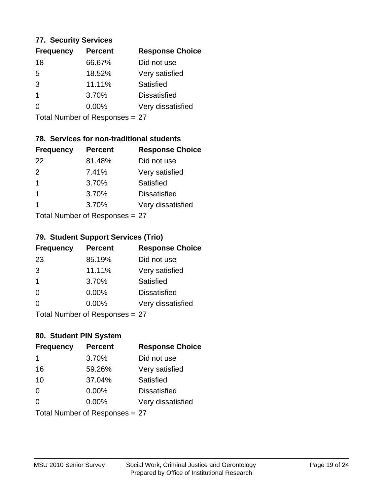## **77. Security Services**

| <b>Percent</b> | <b>Response Choice</b> |
|----------------|------------------------|
| 66.67%         | Did not use            |
| 18.52%         | Very satisfied         |
| 11.11%         | Satisfied              |
| 3.70%          | <b>Dissatisfied</b>    |
| $0.00\%$       | Very dissatisfied      |
|                |                        |

Total Number of Responses = 27

## **78. Services for non-traditional students**

| <b>Frequency</b> | <b>Percent</b>             | <b>Response Choice</b> |
|------------------|----------------------------|------------------------|
| 22               | 81.48%                     | Did not use            |
| $\mathcal{P}$    | 7.41%                      | Very satisfied         |
| $\overline{1}$   | 3.70%                      | <b>Satisfied</b>       |
| 1                | 3.70%                      | <b>Dissatisfied</b>    |
| 1                | 3.70%                      | Very dissatisfied      |
|                  | Tatal Number of Desperance |                        |

Total Number of Responses = 27

## **79. Student Support Services (Trio)**

| <b>Frequency</b>          | <b>Percent</b> | <b>Response Choice</b> |
|---------------------------|----------------|------------------------|
| 23                        | 85.19%         | Did not use            |
| 3                         | 11.11%         | Very satisfied         |
| $\mathbf 1$               | 3.70%          | Satisfied              |
| $\Omega$                  | 0.00%          | <b>Dissatisfied</b>    |
| $\Omega$                  | 0.00%          | Very dissatisfied      |
| Total Number of Desponses |                |                        |

Total Number of Responses = 27

## **80. Student PIN System**

| <b>Frequency</b> | <b>Percent</b>                 | <b>Response Choice</b> |
|------------------|--------------------------------|------------------------|
| 1                | 3.70%                          | Did not use            |
| 16               | 59.26%                         | Very satisfied         |
| 10               | 37.04%                         | Satisfied              |
| $\Omega$         | $0.00\%$                       | <b>Dissatisfied</b>    |
| $\Omega$         | $0.00\%$                       | Very dissatisfied      |
|                  | Total Number of Responses = 27 |                        |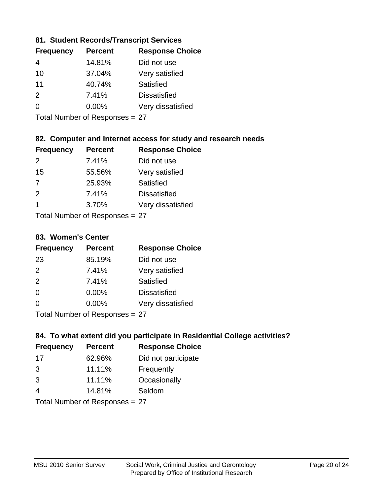## **81. Student Records/Transcript Services**

| <b>Percent</b> | <b>Response Choice</b> |
|----------------|------------------------|
| 14.81%         | Did not use            |
| 37.04%         | Very satisfied         |
| 40.74%         | Satisfied              |
| 7.41%          | <b>Dissatisfied</b>    |
| $0.00\%$       | Very dissatisfied      |
|                |                        |

Total Number of Responses = 27

## **82. Computer and Internet access for study and research needs**

| <b>Frequency</b>                       | <b>Percent</b> | <b>Response Choice</b> |
|----------------------------------------|----------------|------------------------|
| $\mathcal{P}$                          | 7.41%          | Did not use            |
| 15                                     | 55.56%         | Very satisfied         |
| 7                                      | 25.93%         | Satisfied              |
| 2                                      | 7.41%          | <b>Dissatisfied</b>    |
| -1                                     | 3.70%          | Very dissatisfied      |
| $\tau$ . $\tau$ . In the set of $\tau$ |                |                        |

Total Number of Responses = 27

#### **83. Women's Center**

| <b>Frequency</b> | <b>Percent</b> | <b>Response Choice</b> |
|------------------|----------------|------------------------|
| 23               | 85.19%         | Did not use            |
| $\mathcal{P}$    | 7.41%          | Very satisfied         |
| 2                | 7.41%          | <b>Satisfied</b>       |
| $\Omega$         | $0.00\%$       | <b>Dissatisfied</b>    |
| $\Omega$         | 0.00%          | Very dissatisfied      |
| — <u>.</u>       |                |                        |

Total Number of Responses = 27

## **84. To what extent did you participate in Residential College activities?**

| <b>Frequency</b> | <b>Percent</b> | <b>Response Choice</b> |
|------------------|----------------|------------------------|
| 17               | 62.96%         | Did not participate    |
| 3                | 11.11%         | Frequently             |
| 3                | 11.11%         | Occasionally           |
|                  | 14.81%         | Seldom                 |
|                  |                |                        |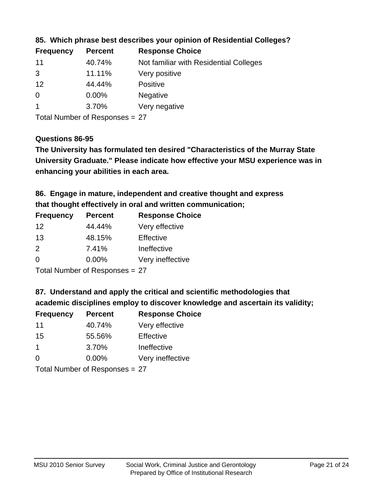| <b>Frequency</b> | <b>Percent</b> | <b>Response Choice</b>                 |
|------------------|----------------|----------------------------------------|
| 11               | 40.74%         | Not familiar with Residential Colleges |
| 3                | 11.11%         | Very positive                          |
| 12               | 44.44%         | <b>Positive</b>                        |
| $\overline{0}$   | $0.00\%$       | <b>Negative</b>                        |
|                  | 3.70%          | Very negative                          |

## **85. Which phrase best describes your opinion of Residential Colleges?**

Total Number of Responses = 27

#### **Questions 86-95**

**University Graduate." Please indicate how effective your MSU experience was in The University has formulated ten desired "Characteristics of the Murray State enhancing your abilities in each area.**

**86. Engage in mature, independent and creative thought and express that thought effectively in oral and written communication;**

| <b>Frequency</b> | <b>Percent</b> | <b>Response Choice</b> |
|------------------|----------------|------------------------|
| 12               | 44.44%         | Very effective         |
| 13               | 48.15%         | Effective              |
| $\mathcal{P}$    | 7.41%          | Ineffective            |
| $\Omega$         | $0.00\%$       | Very ineffective       |

Total Number of Responses = 27

**87. Understand and apply the critical and scientific methodologies that** 

**academic disciplines employ to discover knowledge and ascertain its validity;**

| <b>Frequency</b> | <b>Percent</b> | <b>Response Choice</b> |
|------------------|----------------|------------------------|
| 11               | 40.74%         | Very effective         |
| 15               | 55.56%         | Effective              |
| 1                | 3.70%          | Ineffective            |
| $\Omega$         | 0.00%          | Very ineffective       |
|                  |                |                        |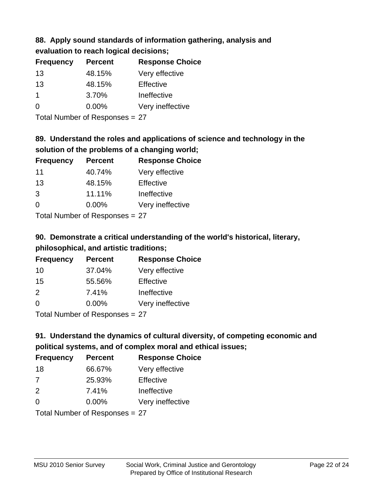#### **88. Apply sound standards of information gathering, analysis and evaluation to reach logical decisions;**

| <b>Percent</b> | <b>Response Choice</b> |
|----------------|------------------------|
| 48.15%         | Very effective         |
| 48.15%         | Effective              |
| 3.70%          | Ineffective            |
| 0.00%          | Very ineffective       |
|                |                        |

Total Number of Responses = 27

# **89. Understand the roles and applications of science and technology in the solution of the problems of a changing world;**

| <b>Frequency</b> | <b>Percent</b> | <b>Response Choice</b> |
|------------------|----------------|------------------------|
| 11               | 40.74%         | Very effective         |
| 13               | 48.15%         | Effective              |
| 3                | 11.11%         | Ineffective            |
| $\Omega$         | 0.00%          | Very ineffective       |
|                  |                |                        |

Total Number of Responses = 27

# **90. Demonstrate a critical understanding of the world's historical, literary, philosophical, and artistic traditions;**

| <b>Frequency</b> | <b>Percent</b> | <b>Response Choice</b> |
|------------------|----------------|------------------------|
| 10               | 37.04%         | Very effective         |
| 15               | 55.56%         | Effective              |
| $\mathcal{P}$    | 7.41%          | Ineffective            |
| $\Omega$         | 0.00%          | Very ineffective       |
|                  |                |                        |

Total Number of Responses = 27

# **91. Understand the dynamics of cultural diversity, of competing economic and political systems, and of complex moral and ethical issues;**

| <b>Frequency</b>               | <b>Percent</b> | <b>Response Choice</b> |
|--------------------------------|----------------|------------------------|
| 18                             | 66.67%         | Very effective         |
| 7                              | 25.93%         | Effective              |
| 2                              | 7.41%          | Ineffective            |
| $\Omega$                       | $0.00\%$       | Very ineffective       |
| Total Number of Responses = 27 |                |                        |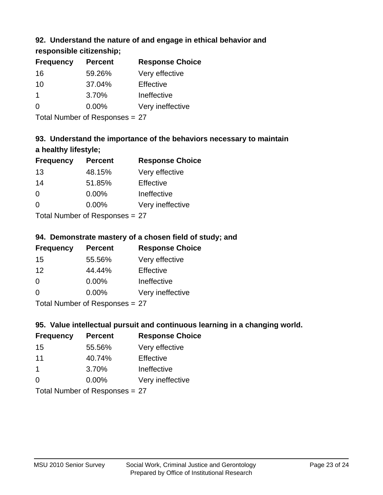## **92. Understand the nature of and engage in ethical behavior and**

**responsible citizenship;**

| <b>Frequency</b> | <b>Percent</b> | <b>Response Choice</b> |
|------------------|----------------|------------------------|
| 16               | 59.26%         | Very effective         |
| 10               | 37.04%         | Effective              |
|                  | 3.70%          | Ineffective            |
| $\Omega$         | $0.00\%$       | Very ineffective       |
|                  |                |                        |

Total Number of Responses = 27

# **93. Understand the importance of the behaviors necessary to maintain a healthy lifestyle;**

| <b>Frequency</b>             | <b>Percent</b> | <b>Response Choice</b> |
|------------------------------|----------------|------------------------|
| 13                           | 48.15%         | Very effective         |
| 14                           | 51.85%         | Effective              |
| $\Omega$                     | 0.00%          | Ineffective            |
| $\Omega$                     | 0.00%          | Very ineffective       |
| $\tau$ . The state of $\sim$ |                |                        |

Total Number of Responses = 27

## **94. Demonstrate mastery of a chosen field of study; and**

| <b>Frequency</b> | <b>Percent</b> | <b>Response Choice</b> |
|------------------|----------------|------------------------|
| 15               | 55.56%         | Very effective         |
| 12               | 44.44%         | Effective              |
| $\Omega$         | $0.00\%$       | Ineffective            |
| 0                | $0.00\%$       | Very ineffective       |
|                  |                |                        |

Total Number of Responses = 27

## **95. Value intellectual pursuit and continuous learning in a changing world.**

| <b>Frequency</b> | <b>Percent</b> | <b>Response Choice</b> |
|------------------|----------------|------------------------|
| 15               | 55.56%         | Very effective         |
| 11               | 40.74%         | Effective              |
| 1                | 3.70%          | Ineffective            |
| $\Omega$         | 0.00%          | Very ineffective       |
|                  |                |                        |